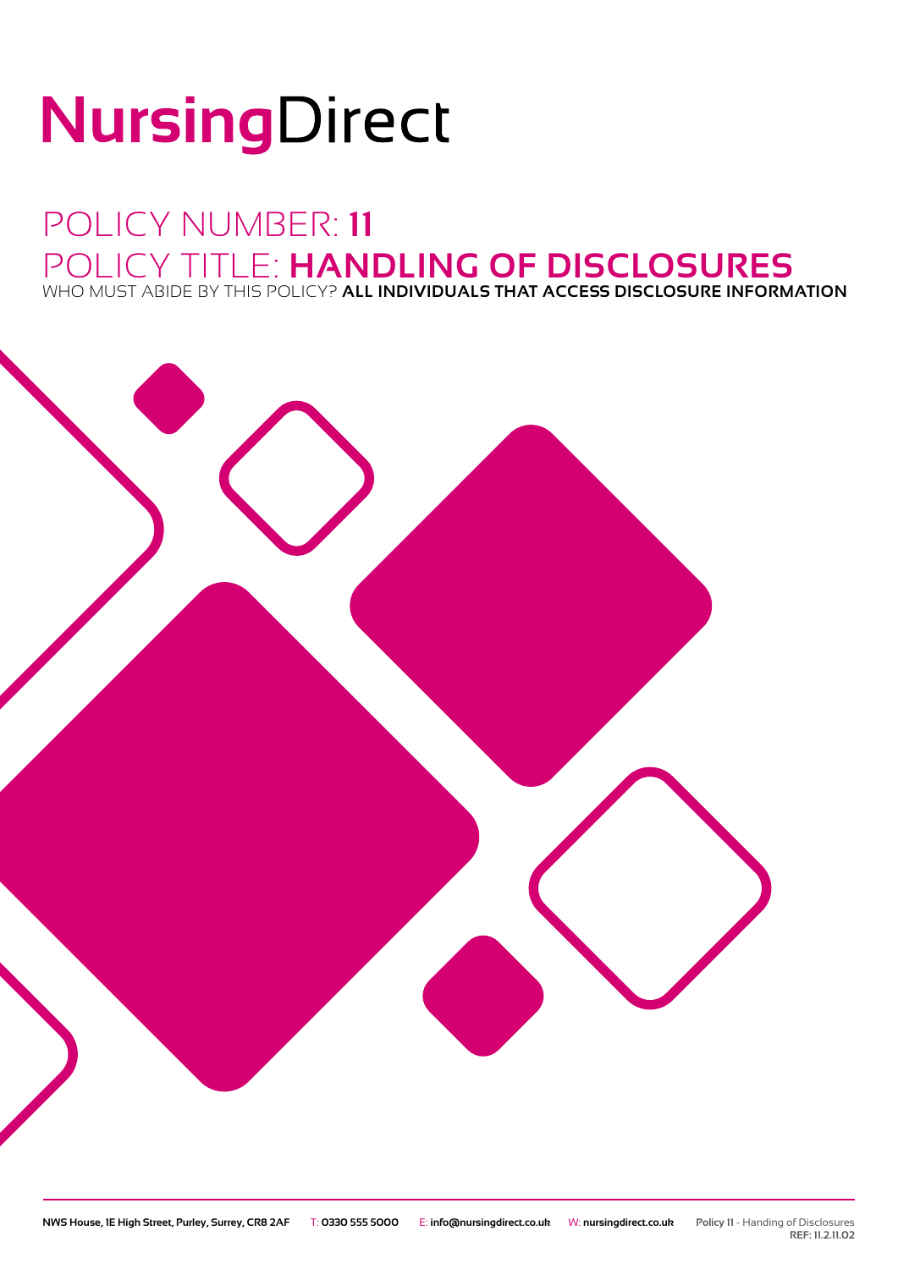# NursingDirect

## POLICY NUMBER: **11** POLICY TITLE: **HANDLING OF DISCLOSURES** WHO MUST ABIDE BY THIS POLICY? **ALL INDIVIDUALS THAT ACCESS DISCLOSURE INFORMATION**



**REF: 11.2.11.02**